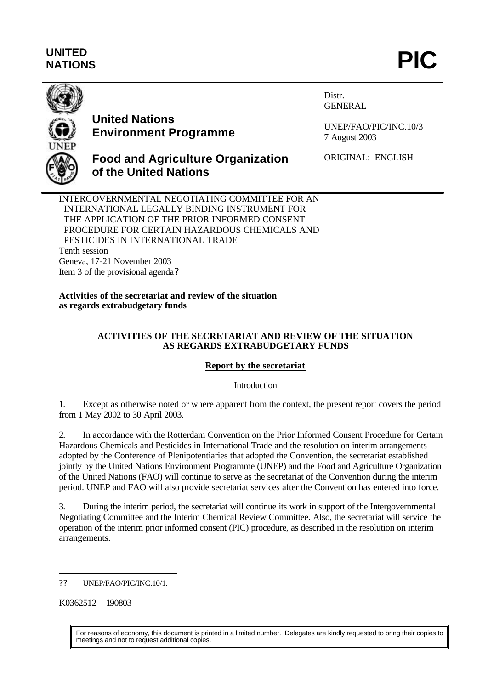# **UNITED** UNITED<br>NATIONS **PIC**



# **United Nations Environment Programme**

Distr. GENERAL

UNEP/FAO/PIC/INC.10/3 7 August 2003

ORIGINAL: ENGLISH

## **Food and Agriculture Organization of the United Nations**

INTERGOVERNMENTAL NEGOTIATING COMMITTEE FOR AN INTERNATIONAL LEGALLY BINDING INSTRUMENT FOR THE APPLICATION OF THE PRIOR INFORMED CONSENT PROCEDURE FOR CERTAIN HAZARDOUS CHEMICALS AND PESTICIDES IN INTERNATIONAL TRADE Tenth session Geneva, 17-21 November 2003 Item 3 of the provisional agenda?

**Activities of the secretariat and review of the situation as regards extrabudgetary funds**

#### **ACTIVITIES OF THE SECRETARIAT AND REVIEW OF THE SITUATION AS REGARDS EXTRABUDGETARY FUNDS**

## **Report by the secretariat**

#### Introduction

1. Except as otherwise noted or where apparent from the context, the present report covers the period from 1 May 2002 to 30 April 2003.

2. In accordance with the Rotterdam Convention on the Prior Informed Consent Procedure for Certain Hazardous Chemicals and Pesticides in International Trade and the resolution on interim arrangements adopted by the Conference of Plenipotentiaries that adopted the Convention, the secretariat established jointly by the United Nations Environment Programme (UNEP) and the Food and Agriculture Organization of the United Nations (FAO) will continue to serve as the secretariat of the Convention during the interim period. UNEP and FAO will also provide secretariat services after the Convention has entered into force.

3. During the interim period, the secretariat will continue its work in support of the Intergovernmental Negotiating Committee and the Interim Chemical Review Committee. Also, the secretariat will service the operation of the interim prior informed consent (PIC) procedure, as described in the resolution on interim arrangements.

K0362512 190803

l

For reasons of economy, this document is printed in a limited number. Delegates are kindly requested to bring their copies to meetings and not to request additional copies.

<sup>??</sup> UNEP/FAO/PIC/INC.10/1.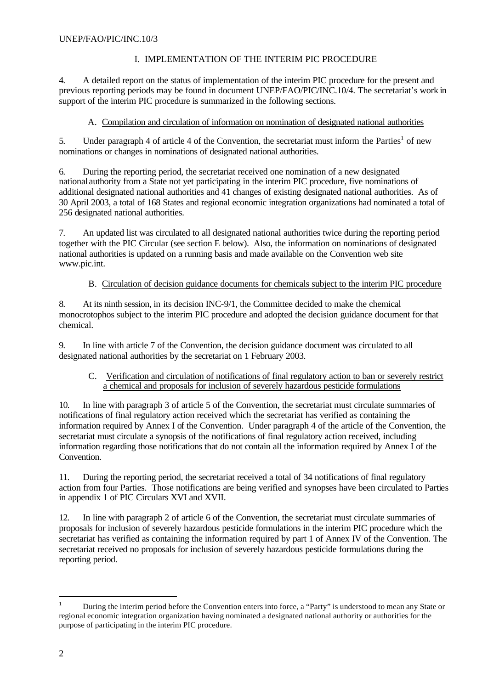## I. IMPLEMENTATION OF THE INTERIM PIC PROCEDURE

4. A detailed report on the status of implementation of the interim PIC procedure for the present and previous reporting periods may be found in document UNEP/FAO/PIC/INC.10/4. The secretariat's work in support of the interim PIC procedure is summarized in the following sections.

## A. Compilation and circulation of information on nomination of designated national authorities

5. Under paragraph 4 of article 4 of the Convention, the secretariat must inform the Parties<sup>1</sup> of new nominations or changes in nominations of designated national authorities.

6. During the reporting period, the secretariat received one nomination of a new designated national authority from a State not yet participating in the interim PIC procedure, five nominations of additional designated national authorities and 41 changes of existing designated national authorities. As of 30 April 2003, a total of 168 States and regional economic integration organizations had nominated a total of 256 designated national authorities.

7. An updated list was circulated to all designated national authorities twice during the reporting period together with the PIC Circular (see section E below). Also, the information on nominations of designated national authorities is updated on a running basis and made available on the Convention web site www.pic.int.

#### B. Circulation of decision guidance documents for chemicals subject to the interim PIC procedure

8. At its ninth session, in its decision INC-9/1, the Committee decided to make the chemical monocrotophos subject to the interim PIC procedure and adopted the decision guidance document for that chemical.

9. In line with article 7 of the Convention, the decision guidance document was circulated to all designated national authorities by the secretariat on 1 February 2003.

#### C. Verification and circulation of notifications of final regulatory action to ban or severely restrict a chemical and proposals for inclusion of severely hazardous pesticide formulations

10. In line with paragraph 3 of article 5 of the Convention, the secretariat must circulate summaries of notifications of final regulatory action received which the secretariat has verified as containing the information required by Annex I of the Convention. Under paragraph 4 of the article of the Convention, the secretariat must circulate a synopsis of the notifications of final regulatory action received, including information regarding those notifications that do not contain all the information required by Annex I of the Convention.

11. During the reporting period, the secretariat received a total of 34 notifications of final regulatory action from four Parties. Those notifications are being verified and synopses have been circulated to Parties in appendix 1 of PIC Circulars XVI and XVII.

12. In line with paragraph 2 of article 6 of the Convention, the secretariat must circulate summaries of proposals for inclusion of severely hazardous pesticide formulations in the interim PIC procedure which the secretariat has verified as containing the information required by part 1 of Annex IV of the Convention. The secretariat received no proposals for inclusion of severely hazardous pesticide formulations during the reporting period.

 $\mathbf{1}$ <sup>1</sup> During the interim period before the Convention enters into force, a "Party" is understood to mean any State or regional economic integration organization having nominated a designated national authority or authorities for the purpose of participating in the interim PIC procedure.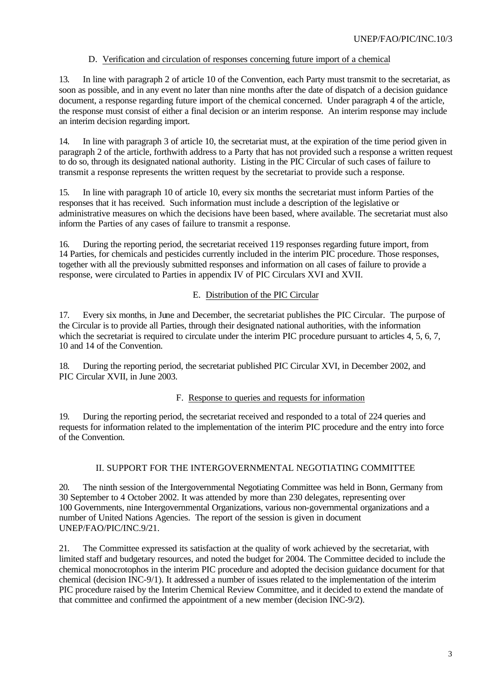#### D. Verification and circulation of responses concerning future import of a chemical

13. In line with paragraph 2 of article 10 of the Convention, each Party must transmit to the secretariat, as soon as possible, and in any event no later than nine months after the date of dispatch of a decision guidance document, a response regarding future import of the chemical concerned. Under paragraph 4 of the article, the response must consist of either a final decision or an interim response. An interim response may include an interim decision regarding import.

14. In line with paragraph 3 of article 10, the secretariat must, at the expiration of the time period given in paragraph 2 of the article, forthwith address to a Party that has not provided such a response a written request to do so, through its designated national authority. Listing in the PIC Circular of such cases of failure to transmit a response represents the written request by the secretariat to provide such a response.

15. In line with paragraph 10 of article 10, every six months the secretariat must inform Parties of the responses that it has received. Such information must include a description of the legislative or administrative measures on which the decisions have been based, where available. The secretariat must also inform the Parties of any cases of failure to transmit a response.

16. During the reporting period, the secretariat received 119 responses regarding future import, from 14 Parties, for chemicals and pesticides currently included in the interim PIC procedure. Those responses, together with all the previously submitted responses and information on all cases of failure to provide a response, were circulated to Parties in appendix IV of PIC Circulars XVI and XVII.

#### E. Distribution of the PIC Circular

17. Every six months, in June and December, the secretariat publishes the PIC Circular. The purpose of the Circular is to provide all Parties, through their designated national authorities, with the information which the secretariat is required to circulate under the interim PIC procedure pursuant to articles 4, 5, 6, 7, 10 and 14 of the Convention.

18. During the reporting period, the secretariat published PIC Circular XVI, in December 2002, and PIC Circular XVII, in June 2003.

#### F. Response to queries and requests for information

19. During the reporting period, the secretariat received and responded to a total of 224 queries and requests for information related to the implementation of the interim PIC procedure and the entry into force of the Convention.

#### II. SUPPORT FOR THE INTERGOVERNMENTAL NEGOTIATING COMMITTEE

20. The ninth session of the Intergovernmental Negotiating Committee was held in Bonn, Germany from 30 September to 4 October 2002. It was attended by more than 230 delegates, representing over 100 Governments, nine Intergovernmental Organizations, various non-governmental organizations and a number of United Nations Agencies. The report of the session is given in document UNEP/FAO/PIC/INC.9/21.

21. The Committee expressed its satisfaction at the quality of work achieved by the secretariat, with limited staff and budgetary resources, and noted the budget for 2004. The Committee decided to include the chemical monocrotophos in the interim PIC procedure and adopted the decision guidance document for that chemical (decision INC-9/1). It addressed a number of issues related to the implementation of the interim PIC procedure raised by the Interim Chemical Review Committee, and it decided to extend the mandate of that committee and confirmed the appointment of a new member (decision INC-9/2).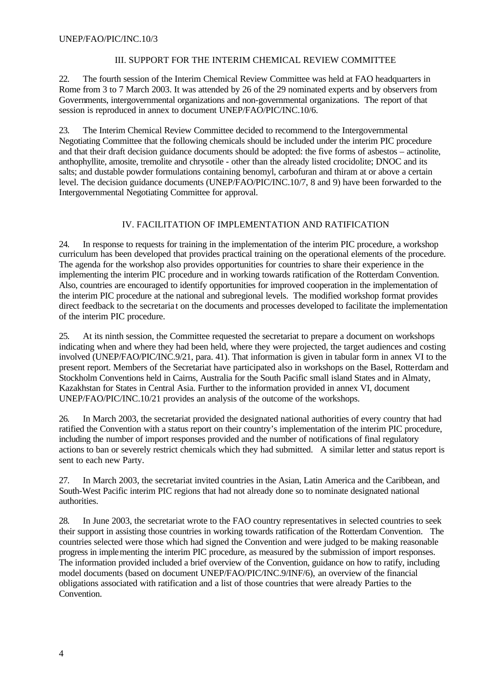#### III. SUPPORT FOR THE INTERIM CHEMICAL REVIEW COMMITTEE

22. The fourth session of the Interim Chemical Review Committee was held at FAO headquarters in Rome from 3 to 7 March 2003. It was attended by 26 of the 29 nominated experts and by observers from Governments, intergovernmental organizations and non-governmental organizations. The report of that session is reproduced in annex to document UNEP/FAO/PIC/INC.10/6.

23. The Interim Chemical Review Committee decided to recommend to the Intergovernmental Negotiating Committee that the following chemicals should be included under the interim PIC procedure and that their draft decision guidance documents should be adopted: the five forms of asbestos – actinolite, anthophyllite, amosite, tremolite and chrysotile - other than the already listed crocidolite; DNOC and its salts; and dustable powder formulations containing benomyl, carbofuran and thiram at or above a certain level. The decision guidance documents (UNEP/FAO/PIC/INC.10/7, 8 and 9) have been forwarded to the Intergovernmental Negotiating Committee for approval.

#### IV. FACILITATION OF IMPLEMENTATION AND RATIFICATION

24. In response to requests for training in the implementation of the interim PIC procedure, a workshop curriculum has been developed that provides practical training on the operational elements of the procedure. The agenda for the workshop also provides opportunities for countries to share their experience in the implementing the interim PIC procedure and in working towards ratification of the Rotterdam Convention. Also, countries are encouraged to identify opportunities for improved cooperation in the implementation of the interim PIC procedure at the national and subregional levels. The modified workshop format provides direct feedback to the secretaria t on the documents and processes developed to facilitate the implementation of the interim PIC procedure.

25. At its ninth session, the Committee requested the secretariat to prepare a document on workshops indicating when and where they had been held, where they were projected, the target audiences and costing involved (UNEP/FAO/PIC/INC.9/21, para. 41). That information is given in tabular form in annex VI to the present report. Members of the Secretariat have participated also in workshops on the Basel, Rotterdam and Stockholm Conventions held in Cairns, Australia for the South Pacific small island States and in Almaty, Kazakhstan for States in Central Asia. Further to the information provided in annex VI, document UNEP/FAO/PIC/INC.10/21 provides an analysis of the outcome of the workshops.

26. In March 2003, the secretariat provided the designated national authorities of every country that had ratified the Convention with a status report on their country's implementation of the interim PIC procedure, including the number of import responses provided and the number of notifications of final regulatory actions to ban or severely restrict chemicals which they had submitted. A similar letter and status report is sent to each new Party.

27. In March 2003, the secretariat invited countries in the Asian, Latin America and the Caribbean, and South-West Pacific interim PIC regions that had not already done so to nominate designated national authorities.

28. In June 2003, the secretariat wrote to the FAO country representatives in selected countries to seek their support in assisting those countries in working towards ratification of the Rotterdam Convention. The countries selected were those which had signed the Convention and were judged to be making reasonable progress in implementing the interim PIC procedure, as measured by the submission of import responses. The information provided included a brief overview of the Convention, guidance on how to ratify, including model documents (based on document UNEP/FAO/PIC/INC.9/INF/6), an overview of the financial obligations associated with ratification and a list of those countries that were already Parties to the Convention.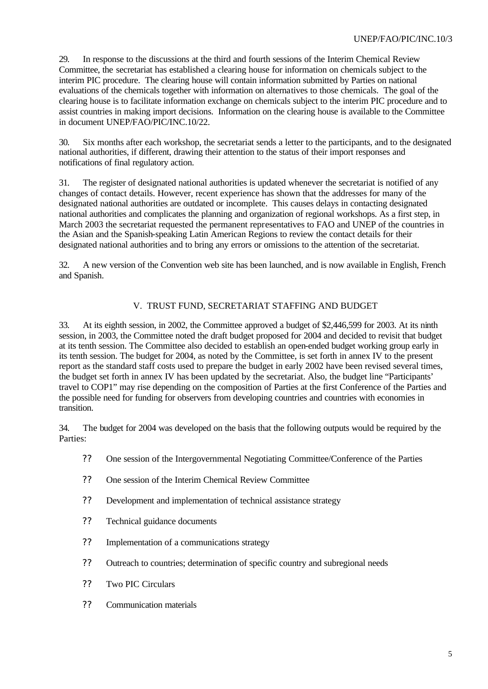29. In response to the discussions at the third and fourth sessions of the Interim Chemical Review Committee, the secretariat has established a clearing house for information on chemicals subject to the interim PIC procedure. The clearing house will contain information submitted by Parties on national evaluations of the chemicals together with information on alternatives to those chemicals. The goal of the clearing house is to facilitate information exchange on chemicals subject to the interim PIC procedure and to assist countries in making import decisions. Information on the clearing house is available to the Committee in document UNEP/FAO/PIC/INC.10/22.

30. Six months after each workshop, the secretariat sends a letter to the participants, and to the designated national authorities, if different, drawing their attention to the status of their import responses and notifications of final regulatory action.

31. The register of designated national authorities is updated whenever the secretariat is notified of any changes of contact details. However, recent experience has shown that the addresses for many of the designated national authorities are outdated or incomplete. This causes delays in contacting designated national authorities and complicates the planning and organization of regional workshops. As a first step, in March 2003 the secretariat requested the permanent representatives to FAO and UNEP of the countries in the Asian and the Spanish-speaking Latin American Regions to review the contact details for their designated national authorities and to bring any errors or omissions to the attention of the secretariat.

32. A new version of the Convention web site has been launched, and is now available in English, French and Spanish.

## V. TRUST FUND, SECRETARIAT STAFFING AND BUDGET

33. At its eighth session, in 2002, the Committee approved a budget of \$2,446,599 for 2003. At its ninth session, in 2003, the Committee noted the draft budget proposed for 2004 and decided to revisit that budget at its tenth session. The Committee also decided to establish an open-ended budget working group early in its tenth session. The budget for 2004, as noted by the Committee, is set forth in annex IV to the present report as the standard staff costs used to prepare the budget in early 2002 have been revised several times, the budget set forth in annex IV has been updated by the secretariat. Also, the budget line "Participants' travel to COP1" may rise depending on the composition of Parties at the first Conference of the Parties and the possible need for funding for observers from developing countries and countries with economies in transition.

34. The budget for 2004 was developed on the basis that the following outputs would be required by the Parties:

- ?? One session of the Intergovernmental Negotiating Committee/Conference of the Parties
- ?? One session of the Interim Chemical Review Committee
- ?? Development and implementation of technical assistance strategy
- ?? Technical guidance documents
- ?? Implementation of a communications strategy
- ?? Outreach to countries; determination of specific country and subregional needs
- ?? Two PIC Circulars
- ?? Communication materials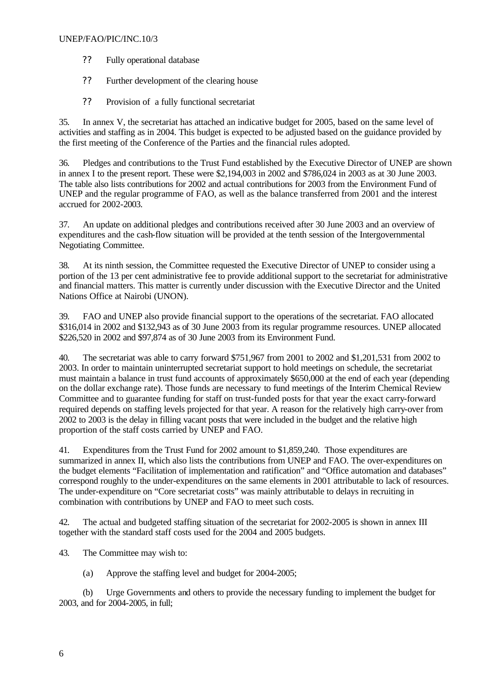#### UNEP/FAO/PIC/INC.10/3

- ?? Fully operational database
- ?? Further development of the clearing house
- ?? Provision of a fully functional secretariat

35. In annex V, the secretariat has attached an indicative budget for 2005, based on the same level of activities and staffing as in 2004. This budget is expected to be adjusted based on the guidance provided by the first meeting of the Conference of the Parties and the financial rules adopted.

36. Pledges and contributions to the Trust Fund established by the Executive Director of UNEP are shown in annex I to the present report. These were \$2,194,003 in 2002 and \$786,024 in 2003 as at 30 June 2003. The table also lists contributions for 2002 and actual contributions for 2003 from the Environment Fund of UNEP and the regular programme of FAO, as well as the balance transferred from 2001 and the interest accrued for 2002-2003.

37. An update on additional pledges and contributions received after 30 June 2003 and an overview of expenditures and the cash-flow situation will be provided at the tenth session of the Intergovernmental Negotiating Committee.

38. At its ninth session, the Committee requested the Executive Director of UNEP to consider using a portion of the 13 per cent administrative fee to provide additional support to the secretariat for administrative and financial matters. This matter is currently under discussion with the Executive Director and the United Nations Office at Nairobi (UNON).

39. FAO and UNEP also provide financial support to the operations of the secretariat. FAO allocated \$316,014 in 2002 and \$132,943 as of 30 June 2003 from its regular programme resources. UNEP allocated \$226,520 in 2002 and \$97,874 as of 30 June 2003 from its Environment Fund.

40. The secretariat was able to carry forward \$751,967 from 2001 to 2002 and \$1,201,531 from 2002 to 2003. In order to maintain uninterrupted secretariat support to hold meetings on schedule, the secretariat must maintain a balance in trust fund accounts of approximately \$650,000 at the end of each year (depending on the dollar exchange rate). Those funds are necessary to fund meetings of the Interim Chemical Review Committee and to guarantee funding for staff on trust-funded posts for that year the exact carry-forward required depends on staffing levels projected for that year. A reason for the relatively high carry-over from 2002 to 2003 is the delay in filling vacant posts that were included in the budget and the relative high proportion of the staff costs carried by UNEP and FAO.

41. Expenditures from the Trust Fund for 2002 amount to \$1,859,240. Those expenditures are summarized in annex II, which also lists the contributions from UNEP and FAO. The over-expenditures on the budget elements "Facilitation of implementation and ratification" and "Office automation and databases" correspond roughly to the under-expenditures on the same elements in 2001 attributable to lack of resources. The under-expenditure on "Core secretariat costs" was mainly attributable to delays in recruiting in combination with contributions by UNEP and FAO to meet such costs.

42. The actual and budgeted staffing situation of the secretariat for 2002-2005 is shown in annex III together with the standard staff costs used for the 2004 and 2005 budgets.

43. The Committee may wish to:

(a) Approve the staffing level and budget for 2004-2005;

(b) Urge Governments and others to provide the necessary funding to implement the budget for 2003, and for 2004-2005, in full;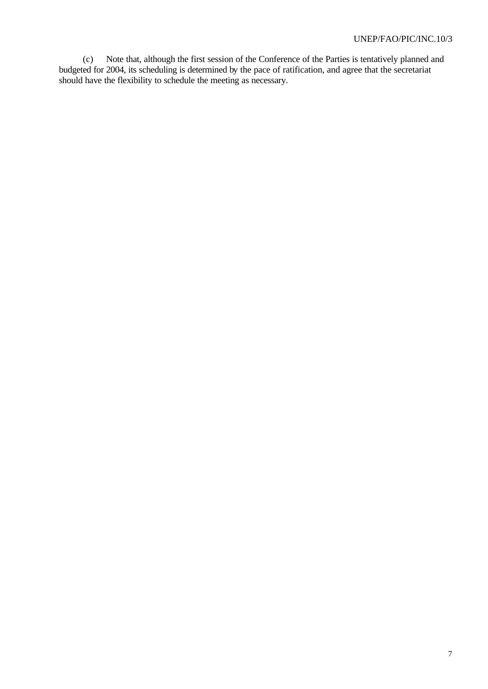(c) Note that, although the first session of the Conference of the Parties is tentatively planned and budgeted for 2004, its scheduling is determined by the pace of ratification, and agree that the secretariat should have the flexibility to schedule the meeting as necessary.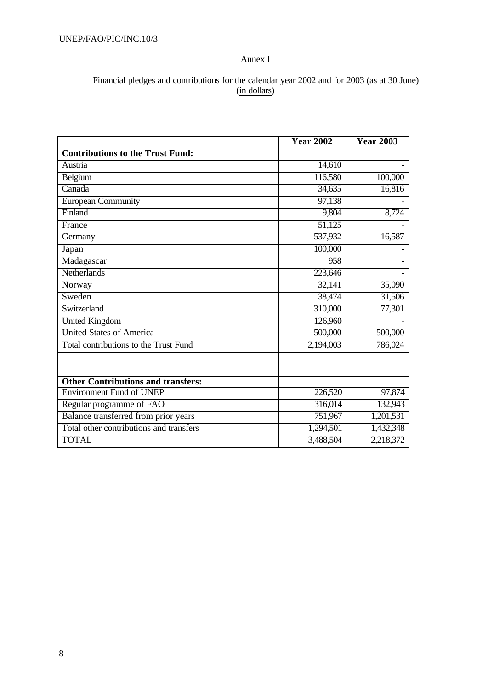## Annex I

## Financial pledges and contributions for the calendar year 2002 and for 2003 (as at 30 June) (in dollars)

|                                           | <b>Year 2002</b> | <b>Year 2003</b> |
|-------------------------------------------|------------------|------------------|
| <b>Contributions to the Trust Fund:</b>   |                  |                  |
| Austria                                   | 14,610           |                  |
| Belgium                                   | 116,580          | 100,000          |
| Canada                                    | 34,635           | 16,816           |
| <b>European Community</b>                 | 97,138           |                  |
| Finland                                   | 9,804            | 8,724            |
| France                                    | 51,125           |                  |
| Germany                                   | 537,932          | 16,587           |
| Japan                                     | 100,000          |                  |
| Madagascar                                | 958              |                  |
| Netherlands                               | 223,646          |                  |
| Norway                                    | 32,141           | 35,090           |
| Sweden                                    | 38,474           | 31,506           |
| Switzerland                               | 310,000          | 77,301           |
| <b>United Kingdom</b>                     | 126,960          |                  |
| <b>United States of America</b>           | 500,000          | 500,000          |
| Total contributions to the Trust Fund     | 2,194,003        | 786,024          |
|                                           |                  |                  |
| <b>Other Contributions and transfers:</b> |                  |                  |
| <b>Environment Fund of UNEP</b>           | 226,520          | 97,874           |
| Regular programme of FAO                  | 316,014          | 132,943          |
| Balance transferred from prior years      | 751,967          | 1,201,531        |
| Total other contributions and transfers   | 1,294,501        | 1,432,348        |
| <b>TOTAL</b>                              | 3,488,504        | 2,218,372        |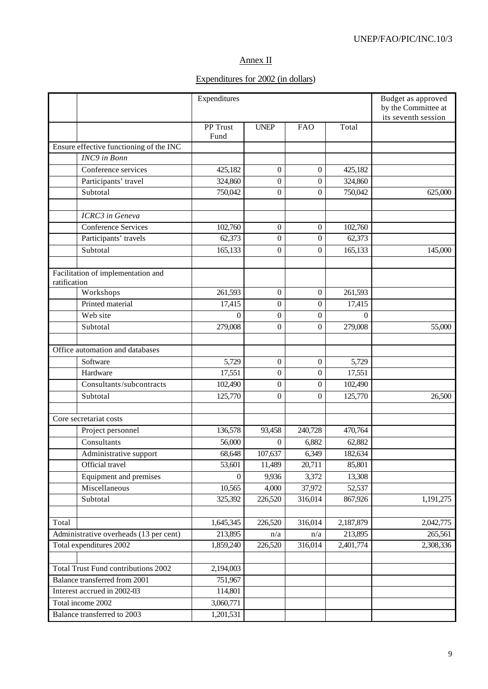## Annex II

## Expenditures for 2002 (in dollars)

|                                            |                          | Expenditures     |                   |                  |                   | Budget as approved<br>by the Committee at<br>its seventh session |
|--------------------------------------------|--------------------------|------------------|-------------------|------------------|-------------------|------------------------------------------------------------------|
|                                            |                          | PP Trust<br>Fund | <b>UNEP</b>       | <b>FAO</b>       | Total             |                                                                  |
| Ensure effective functioning of the INC    |                          |                  |                   |                  |                   |                                                                  |
| INC9 in Bonn                               |                          |                  |                   |                  |                   |                                                                  |
| Conference services                        |                          | 425,182          | 0                 | 0                | 425,182           |                                                                  |
| Participants' travel                       |                          | 324,860          | $\theta$          | $\boldsymbol{0}$ | 324,860           |                                                                  |
| Subtotal                                   |                          | 750,042          | $\boldsymbol{0}$  | $\boldsymbol{0}$ | 750,042           | 625,000                                                          |
|                                            |                          |                  |                   |                  |                   |                                                                  |
| ICRC3 in Geneva                            |                          |                  |                   |                  |                   |                                                                  |
| <b>Conference Services</b>                 |                          | 102,760          | $\boldsymbol{0}$  | $\boldsymbol{0}$ | 102,760           |                                                                  |
| Participants' travels                      |                          | 62,373           | $\boldsymbol{0}$  | $\boldsymbol{0}$ | 62,373            |                                                                  |
| Subtotal                                   |                          | 165,133          | $\mathbf{0}$      | $\boldsymbol{0}$ | 165,133           | 145,000                                                          |
|                                            |                          |                  |                   |                  |                   |                                                                  |
| Facilitation of implementation and         |                          |                  |                   |                  |                   |                                                                  |
| ratification                               |                          |                  |                   |                  |                   |                                                                  |
| Workshops                                  |                          | 261,593          | $\boldsymbol{0}$  | $\boldsymbol{0}$ | 261,593           |                                                                  |
| Printed material                           |                          | 17,415           | $\boldsymbol{0}$  | $\overline{0}$   | 17,415            |                                                                  |
| Web site                                   |                          | $\theta$         | $\boldsymbol{0}$  | $\boldsymbol{0}$ | $\theta$          |                                                                  |
| Subtotal                                   |                          | 279,008          | $\boldsymbol{0}$  | $\theta$         | 279,008           | 55,000                                                           |
|                                            |                          |                  |                   |                  |                   |                                                                  |
| Office automation and databases            |                          |                  |                   |                  |                   |                                                                  |
| Software                                   |                          | 5,729            | $\boldsymbol{0}$  | $\boldsymbol{0}$ | 5,729             |                                                                  |
| Hardware                                   |                          | 17,551           | $\boldsymbol{0}$  | $\overline{0}$   | 17,551            |                                                                  |
|                                            | Consultants/subcontracts | 102,490          | $\boldsymbol{0}$  | $\boldsymbol{0}$ | 102,490           |                                                                  |
| Subtotal                                   |                          | 125,770          | $\boldsymbol{0}$  | $\mathbf{0}$     | 125,770           | 26,500                                                           |
| Core secretariat costs                     |                          |                  |                   |                  |                   |                                                                  |
|                                            |                          | 136,578          | 93,458            | 240,728          | 470,764           |                                                                  |
| Project personnel<br>Consultants           |                          | 56,000           | 0                 | 6,882            | 62,882            |                                                                  |
|                                            |                          |                  |                   |                  |                   |                                                                  |
| Official travel                            | Administrative support   | 68,648<br>53,601 | 107,637<br>11,489 | 6,349<br>20,711  | 182,634<br>85,801 |                                                                  |
|                                            | Equipment and premises   | $\theta$         | 9,936             | 3,372            | 13,308            |                                                                  |
| Miscellaneous                              |                          | 10,565           |                   | 37,972           |                   |                                                                  |
| Subtotal                                   |                          | 325,392          | 4,000<br>226,520  | 316,014          | 52,537<br>867,926 | 1,191,275                                                        |
|                                            |                          |                  |                   |                  |                   |                                                                  |
| Total                                      |                          | 1,645,345        | 226,520           | 316,014          | 2,187,879         | 2,042,775                                                        |
| Administrative overheads (13 per cent)     |                          | 213,895          | n/a               | n/a              | 213,895           | 265,561                                                          |
| Total expenditures 2002                    |                          | 1,859,240        | 226,520           | 316,014          | 2,401,774         | 2,308,336                                                        |
|                                            |                          |                  |                   |                  |                   |                                                                  |
| <b>Total Trust Fund contributions 2002</b> |                          | 2,194,003        |                   |                  |                   |                                                                  |
| Balance transferred from 2001              |                          | 751,967          |                   |                  |                   |                                                                  |
| Interest accrued in 2002-03                |                          | 114,801          |                   |                  |                   |                                                                  |
| Total income 2002                          |                          | 3,060,771        |                   |                  |                   |                                                                  |
| Balance transferred to 2003                |                          | 1,201,531        |                   |                  |                   |                                                                  |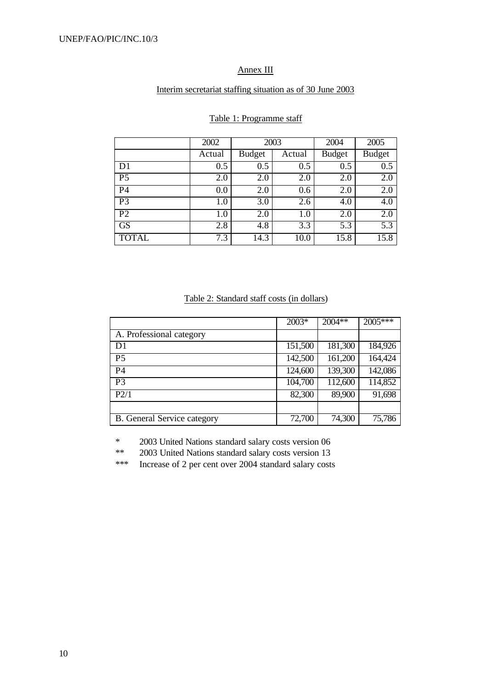## Annex III

#### Interim secretariat staffing situation as of 30 June 2003

|                 | 2002   | 2003          |        | 2004             | 2005             |
|-----------------|--------|---------------|--------|------------------|------------------|
|                 | Actual | <b>Budget</b> | Actual | <b>Budget</b>    | <b>Budget</b>    |
| D1              | 0.5    | 0.5           | 0.5    | $\overline{0.5}$ | $\overline{0.5}$ |
| $\overline{P5}$ | 2.0    | 2.0           | 2.0    | 2.0              | 2.0              |
| P <sub>4</sub>  | 0.0    | 2.0           | 0.6    | 2.0              | 2.0              |
| P <sub>3</sub>  | 1.0    | 3.0           | 2.6    | 4.0              | 4.0              |
| $\overline{P2}$ | 1.0    | 2.0           | 1.0    | 2.0              | 2.0              |
| GS              | 2.8    | 4.8           | 3.3    | 5.3              | 5.3              |
| <b>TOTAL</b>    | 7.3    | 14.3          | 10.0   | 15.8             | 15.8             |

#### Table 1: Programme staff

#### Table 2: Standard staff costs (in dollars)

|                                    | 2003*   | 2004**  | 2005*** |
|------------------------------------|---------|---------|---------|
| A. Professional category           |         |         |         |
| D <sub>1</sub>                     | 151,500 | 181,300 | 184,926 |
| P <sub>5</sub>                     | 142,500 | 161,200 | 164,424 |
| P <sub>4</sub>                     | 124,600 | 139,300 | 142,086 |
| P <sub>3</sub>                     | 104,700 | 112,600 | 114,852 |
| P2/1                               | 82,300  | 89,900  | 91,698  |
|                                    |         |         |         |
| <b>B.</b> General Service category | 72,700  | 74,300  | 75,786  |

\* 2003 United Nations standard salary costs version 06

\*\* 2003 United Nations standard salary costs version 13

\*\*\* Increase of 2 per cent over 2004 standard salary costs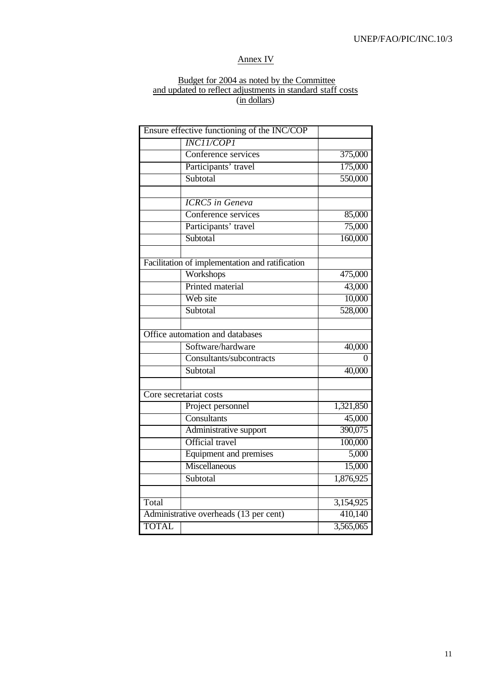## Annex IV

#### Budget for 2004 as noted by the Committee and updated to reflect adjustments in standard staff costs (in dollars)

|              | Ensure effective functioning of the INC/COP     |           |
|--------------|-------------------------------------------------|-----------|
|              | <b>INC11/COP1</b>                               |           |
|              | Conference services                             | 375,000   |
|              | Participants' travel                            | 175,000   |
|              | Subtotal                                        | 550,000   |
|              |                                                 |           |
|              | <b>ICRC5</b> in Geneva                          |           |
|              | Conference services                             | 85,000    |
|              | Participants' travel                            | 75,000    |
|              | Subtotal                                        | 160,000   |
|              | Facilitation of implementation and ratification |           |
|              | Workshops                                       | 475,000   |
|              | Printed material                                | 43,000    |
|              | Web site                                        | 10,000    |
|              | Subtotal                                        | 528,000   |
|              |                                                 |           |
|              | Office automation and databases                 |           |
|              | Software/hardware                               | 40,000    |
|              | Consultants/subcontracts                        | 0         |
|              | Subtotal                                        | 40,000    |
|              |                                                 |           |
|              | Core secretariat costs                          |           |
|              | Project personnel                               | 1,321,850 |
|              | Consultants                                     | 45,000    |
|              | Administrative support                          | 390,075   |
|              | Official travel                                 | 100,000   |
|              | Equipment and premises                          | 5,000     |
|              | Miscellaneous                                   | 15,000    |
|              | Subtotal                                        | 1,876,925 |
|              |                                                 |           |
| Total        |                                                 | 3,154,925 |
|              | Administrative overheads (13 per cent)          | 410,140   |
| <b>TOTAL</b> |                                                 | 3,565,065 |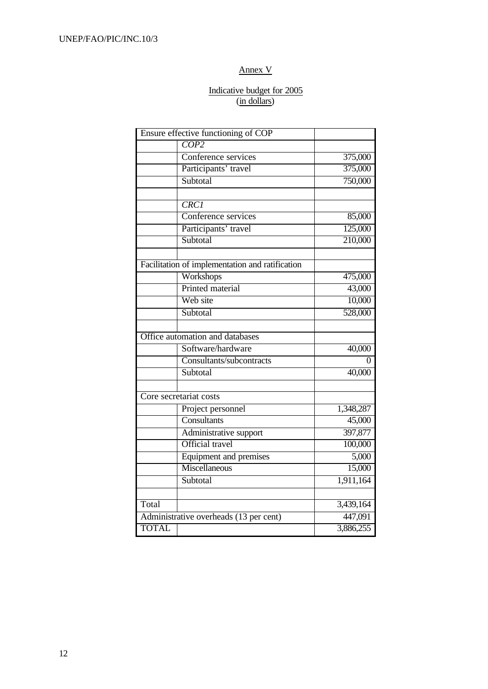## Annex V

#### Indicative budget for 2005 (in dollars)

|              | Ensure effective functioning of COP             |           |
|--------------|-------------------------------------------------|-----------|
|              | COP2                                            |           |
|              | Conference services                             | 375,000   |
|              | Participants' travel                            | 375,000   |
|              | Subtotal                                        | 750,000   |
|              |                                                 |           |
|              | <b>CRC1</b>                                     |           |
|              | Conference services                             | 85,000    |
|              | Participants' travel                            | 125,000   |
|              | Subtotal                                        | 210,000   |
|              | Facilitation of implementation and ratification |           |
|              | Workshops                                       | 475,000   |
|              | Printed material                                | 43,000    |
|              | Web site                                        |           |
|              |                                                 | 10,000    |
|              | Subtotal                                        | 528,000   |
|              |                                                 |           |
|              | Office automation and databases                 |           |
|              | Software/hardware                               | 40,000    |
|              | Consultants/subcontracts                        | 0         |
|              | Subtotal                                        | 40,000    |
|              |                                                 |           |
|              | Core secretariat costs                          |           |
|              | Project personnel                               | 1,348,287 |
|              | Consultants                                     | 45,000    |
|              | Administrative support                          | 397,877   |
|              | Official travel                                 | 100,000   |
|              | Equipment and premises                          | 5,000     |
|              | Miscellaneous                                   | 15,000    |
|              | Subtotal                                        | 1,911,164 |
|              |                                                 |           |
| Total        |                                                 | 3,439,164 |
|              | Administrative overheads (13 per cent)          | 447,091   |
| <b>TOTAL</b> |                                                 | 3,886,255 |